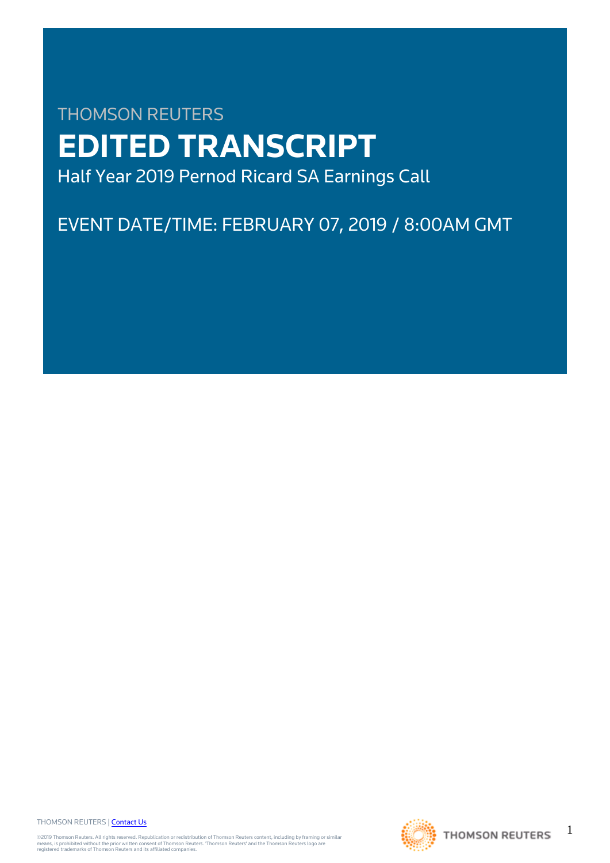# THOMSON REUTERS **EDITED TRANSCRIPT** Half Year 2019 Pernod Ricard SA Earnings Call

EVENT DATE/TIME: FEBRUARY 07, 2019 / 8:00AM GMT

THOMSON REUTERS | [Contact Us](https://my.thomsonreuters.com/ContactUsNew)

©2019 Thomson Reuters. All rights reserved. Republication or redistribution of Thomson Reuters content, including by framing or similar<br>means, is prohibited without the prior written consent of Thomson Reuters. "Thomson Re



1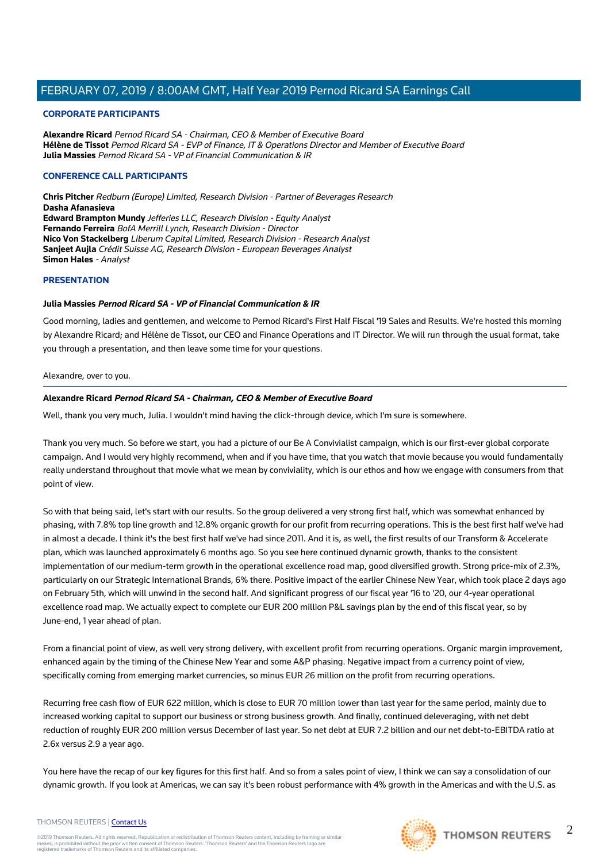#### **CORPORATE PARTICIPANTS**

**Alexandre Ricard** Pernod Ricard SA - Chairman, CEO & Member of Executive Board **Hélène de Tissot** Pernod Ricard SA - EVP of Finance, IT & Operations Director and Member of Executive Board **Julia Massies** Pernod Ricard SA - VP of Financial Communication & IR

#### **CONFERENCE CALL PARTICIPANTS**

**Chris Pitcher** Redburn (Europe) Limited, Research Division - Partner of Beverages Research **Dasha Afanasieva Edward Brampton Mundy** Jefferies LLC, Research Division - Equity Analyst **Fernando Ferreira** BofA Merrill Lynch, Research Division - Director **Nico Von Stackelberg** Liberum Capital Limited, Research Division - Research Analyst **Sanjeet Aujla** Crédit Suisse AG, Research Division - European Beverages Analyst **Simon Hales** - Analyst

#### **PRESENTATION**

#### **Julia Massies Pernod Ricard SA - VP of Financial Communication & IR**

Good morning, ladies and gentlemen, and welcome to Pernod Ricard's First Half Fiscal '19 Sales and Results. We're hosted this morning by Alexandre Ricard; and Hélène de Tissot, our CEO and Finance Operations and IT Director. We will run through the usual format, take you through a presentation, and then leave some time for your questions.

Alexandre, over to you.

#### **Alexandre Ricard Pernod Ricard SA - Chairman, CEO & Member of Executive Board**

Well, thank you very much, Julia. I wouldn't mind having the click-through device, which I'm sure is somewhere.

Thank you very much. So before we start, you had a picture of our Be A Convivialist campaign, which is our first-ever global corporate campaign. And I would very highly recommend, when and if you have time, that you watch that movie because you would fundamentally really understand throughout that movie what we mean by conviviality, which is our ethos and how we engage with consumers from that point of view.

So with that being said, let's start with our results. So the group delivered a very strong first half, which was somewhat enhanced by phasing, with 7.8% top line growth and 12.8% organic growth for our profit from recurring operations. This is the best first half we've had in almost a decade. I think it's the best first half we've had since 2011. And it is, as well, the first results of our Transform & Accelerate plan, which was launched approximately 6 months ago. So you see here continued dynamic growth, thanks to the consistent implementation of our medium-term growth in the operational excellence road map, good diversified growth. Strong price-mix of 2.3%, particularly on our Strategic International Brands, 6% there. Positive impact of the earlier Chinese New Year, which took place 2 days ago on February 5th, which will unwind in the second half. And significant progress of our fiscal year '16 to '20, our 4-year operational excellence road map. We actually expect to complete our EUR 200 million P&L savings plan by the end of this fiscal year, so by June-end, 1 year ahead of plan.

From a financial point of view, as well very strong delivery, with excellent profit from recurring operations. Organic margin improvement, enhanced again by the timing of the Chinese New Year and some A&P phasing. Negative impact from a currency point of view, specifically coming from emerging market currencies, so minus EUR 26 million on the profit from recurring operations.

Recurring free cash flow of EUR 622 million, which is close to EUR 70 million lower than last year for the same period, mainly due to increased working capital to support our business or strong business growth. And finally, continued deleveraging, with net debt reduction of roughly EUR 200 million versus December of last year. So net debt at EUR 7.2 billion and our net debt-to-EBITDA ratio at 2.6x versus 2.9 a year ago.

You here have the recap of our key figures for this first half. And so from a sales point of view, I think we can say a consolidation of our dynamic growth. If you look at Americas, we can say it's been robust performance with 4% growth in the Americas and with the U.S. as

#### THOMSON REUTERS | [Contact Us](https://my.thomsonreuters.com/ContactUsNew)

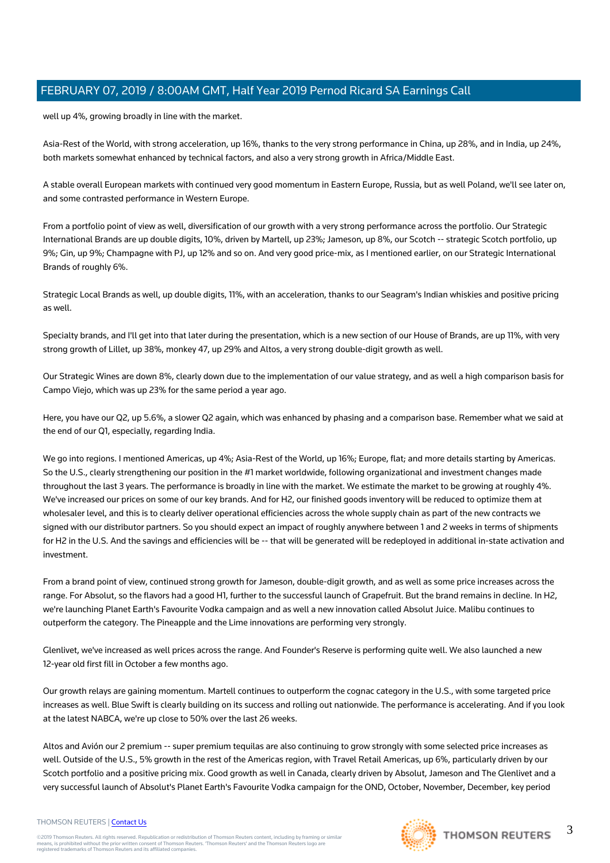well up 4%, growing broadly in line with the market.

Asia-Rest of the World, with strong acceleration, up 16%, thanks to the very strong performance in China, up 28%, and in India, up 24%, both markets somewhat enhanced by technical factors, and also a very strong growth in Africa/Middle East.

A stable overall European markets with continued very good momentum in Eastern Europe, Russia, but as well Poland, we'll see later on, and some contrasted performance in Western Europe.

From a portfolio point of view as well, diversification of our growth with a very strong performance across the portfolio. Our Strategic International Brands are up double digits, 10%, driven by Martell, up 23%; Jameson, up 8%, our Scotch -- strategic Scotch portfolio, up 9%; Gin, up 9%; Champagne with PJ, up 12% and so on. And very good price-mix, as I mentioned earlier, on our Strategic International Brands of roughly 6%.

Strategic Local Brands as well, up double digits, 11%, with an acceleration, thanks to our Seagram's Indian whiskies and positive pricing as well.

Specialty brands, and I'll get into that later during the presentation, which is a new section of our House of Brands, are up 11%, with very strong growth of Lillet, up 38%, monkey 47, up 29% and Altos, a very strong double-digit growth as well.

Our Strategic Wines are down 8%, clearly down due to the implementation of our value strategy, and as well a high comparison basis for Campo Viejo, which was up 23% for the same period a year ago.

Here, you have our Q2, up 5.6%, a slower Q2 again, which was enhanced by phasing and a comparison base. Remember what we said at the end of our Q1, especially, regarding India.

We go into regions. I mentioned Americas, up 4%; Asia-Rest of the World, up 16%; Europe, flat; and more details starting by Americas. So the U.S., clearly strengthening our position in the #1 market worldwide, following organizational and investment changes made throughout the last 3 years. The performance is broadly in line with the market. We estimate the market to be growing at roughly 4%. We've increased our prices on some of our key brands. And for H2, our finished goods inventory will be reduced to optimize them at wholesaler level, and this is to clearly deliver operational efficiencies across the whole supply chain as part of the new contracts we signed with our distributor partners. So you should expect an impact of roughly anywhere between 1 and 2 weeks in terms of shipments for H2 in the U.S. And the savings and efficiencies will be -- that will be generated will be redeployed in additional in-state activation and investment.

From a brand point of view, continued strong growth for Jameson, double-digit growth, and as well as some price increases across the range. For Absolut, so the flavors had a good H1, further to the successful launch of Grapefruit. But the brand remains in decline. In H2, we're launching Planet Earth's Favourite Vodka campaign and as well a new innovation called Absolut Juice. Malibu continues to outperform the category. The Pineapple and the Lime innovations are performing very strongly.

Glenlivet, we've increased as well prices across the range. And Founder's Reserve is performing quite well. We also launched a new 12-year old first fill in October a few months ago.

Our growth relays are gaining momentum. Martell continues to outperform the cognac category in the U.S., with some targeted price increases as well. Blue Swift is clearly building on its success and rolling out nationwide. The performance is accelerating. And if you look at the latest NABCA, we're up close to 50% over the last 26 weeks.

Altos and Avión our 2 premium -- super premium tequilas are also continuing to grow strongly with some selected price increases as well. Outside of the U.S., 5% growth in the rest of the Americas region, with Travel Retail Americas, up 6%, particularly driven by our Scotch portfolio and a positive pricing mix. Good growth as well in Canada, clearly driven by Absolut, Jameson and The Glenlivet and a very successful launch of Absolut's Planet Earth's Favourite Vodka campaign for the OND, October, November, December, key period

## THOMSON REUTERS | [Contact Us](https://my.thomsonreuters.com/ContactUsNew)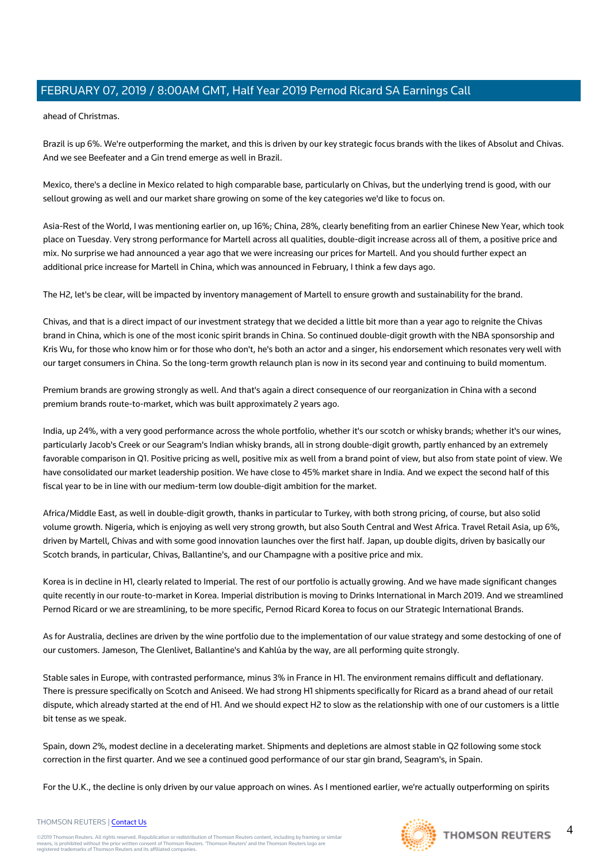ahead of Christmas.

Brazil is up 6%. We're outperforming the market, and this is driven by our key strategic focus brands with the likes of Absolut and Chivas. And we see Beefeater and a Gin trend emerge as well in Brazil.

Mexico, there's a decline in Mexico related to high comparable base, particularly on Chivas, but the underlying trend is good, with our sellout growing as well and our market share growing on some of the key categories we'd like to focus on.

Asia-Rest of the World, I was mentioning earlier on, up 16%; China, 28%, clearly benefiting from an earlier Chinese New Year, which took place on Tuesday. Very strong performance for Martell across all qualities, double-digit increase across all of them, a positive price and mix. No surprise we had announced a year ago that we were increasing our prices for Martell. And you should further expect an additional price increase for Martell in China, which was announced in February, I think a few days ago.

The H2, let's be clear, will be impacted by inventory management of Martell to ensure growth and sustainability for the brand.

Chivas, and that is a direct impact of our investment strategy that we decided a little bit more than a year ago to reignite the Chivas brand in China, which is one of the most iconic spirit brands in China. So continued double-digit growth with the NBA sponsorship and Kris Wu, for those who know him or for those who don't, he's both an actor and a singer, his endorsement which resonates very well with our target consumers in China. So the long-term growth relaunch plan is now in its second year and continuing to build momentum.

Premium brands are growing strongly as well. And that's again a direct consequence of our reorganization in China with a second premium brands route-to-market, which was built approximately 2 years ago.

India, up 24%, with a very good performance across the whole portfolio, whether it's our scotch or whisky brands; whether it's our wines, particularly Jacob's Creek or our Seagram's Indian whisky brands, all in strong double-digit growth, partly enhanced by an extremely favorable comparison in Q1. Positive pricing as well, positive mix as well from a brand point of view, but also from state point of view. We have consolidated our market leadership position. We have close to 45% market share in India. And we expect the second half of this fiscal year to be in line with our medium-term low double-digit ambition for the market.

Africa/Middle East, as well in double-digit growth, thanks in particular to Turkey, with both strong pricing, of course, but also solid volume growth. Nigeria, which is enjoying as well very strong growth, but also South Central and West Africa. Travel Retail Asia, up 6%, driven by Martell, Chivas and with some good innovation launches over the first half. Japan, up double digits, driven by basically our Scotch brands, in particular, Chivas, Ballantine's, and our Champagne with a positive price and mix.

Korea is in decline in H1, clearly related to Imperial. The rest of our portfolio is actually growing. And we have made significant changes quite recently in our route-to-market in Korea. Imperial distribution is moving to Drinks International in March 2019. And we streamlined Pernod Ricard or we are streamlining, to be more specific, Pernod Ricard Korea to focus on our Strategic International Brands.

As for Australia, declines are driven by the wine portfolio due to the implementation of our value strategy and some destocking of one of our customers. Jameson, The Glenlivet, Ballantine's and Kahlúa by the way, are all performing quite strongly.

Stable sales in Europe, with contrasted performance, minus 3% in France in H1. The environment remains difficult and deflationary. There is pressure specifically on Scotch and Aniseed. We had strong H1 shipments specifically for Ricard as a brand ahead of our retail dispute, which already started at the end of H1. And we should expect H2 to slow as the relationship with one of our customers is a little bit tense as we speak.

Spain, down 2%, modest decline in a decelerating market. Shipments and depletions are almost stable in Q2 following some stock correction in the first quarter. And we see a continued good performance of our star gin brand, Seagram's, in Spain.

For the U.K., the decline is only driven by our value approach on wines. As I mentioned earlier, we're actually outperforming on spirits

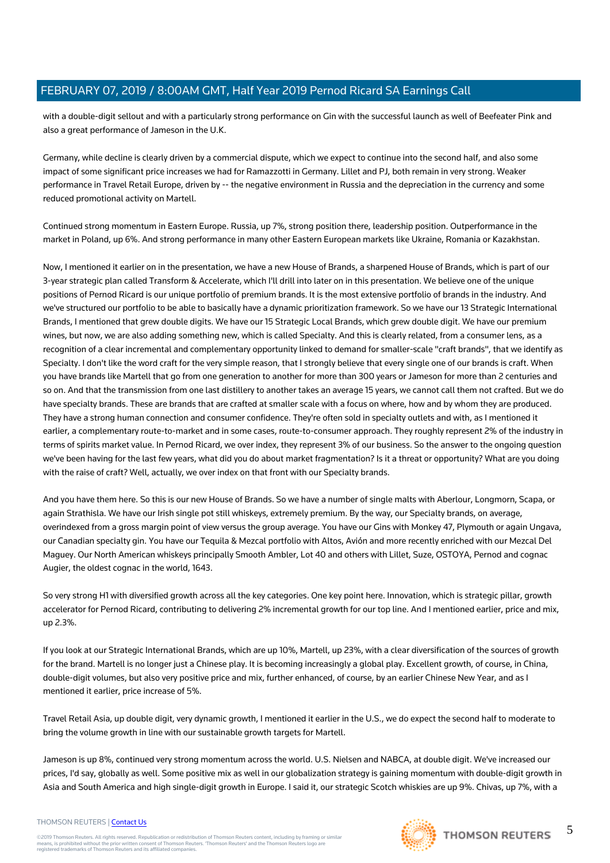with a double-digit sellout and with a particularly strong performance on Gin with the successful launch as well of Beefeater Pink and also a great performance of Jameson in the U.K.

Germany, while decline is clearly driven by a commercial dispute, which we expect to continue into the second half, and also some impact of some significant price increases we had for Ramazzotti in Germany. Lillet and PJ, both remain in very strong. Weaker performance in Travel Retail Europe, driven by -- the negative environment in Russia and the depreciation in the currency and some reduced promotional activity on Martell.

Continued strong momentum in Eastern Europe. Russia, up 7%, strong position there, leadership position. Outperformance in the market in Poland, up 6%. And strong performance in many other Eastern European markets like Ukraine, Romania or Kazakhstan.

Now, I mentioned it earlier on in the presentation, we have a new House of Brands, a sharpened House of Brands, which is part of our 3-year strategic plan called Transform & Accelerate, which I'll drill into later on in this presentation. We believe one of the unique positions of Pernod Ricard is our unique portfolio of premium brands. It is the most extensive portfolio of brands in the industry. And we've structured our portfolio to be able to basically have a dynamic prioritization framework. So we have our 13 Strategic International Brands, I mentioned that grew double digits. We have our 15 Strategic Local Brands, which grew double digit. We have our premium wines, but now, we are also adding something new, which is called Specialty. And this is clearly related, from a consumer lens, as a recognition of a clear incremental and complementary opportunity linked to demand for smaller-scale "craft brands", that we identify as Specialty. I don't like the word craft for the very simple reason, that I strongly believe that every single one of our brands is craft. When you have brands like Martell that go from one generation to another for more than 300 years or Jameson for more than 2 centuries and so on. And that the transmission from one last distillery to another takes an average 15 years, we cannot call them not crafted. But we do have specialty brands. These are brands that are crafted at smaller scale with a focus on where, how and by whom they are produced. They have a strong human connection and consumer confidence. They're often sold in specialty outlets and with, as I mentioned it earlier, a complementary route-to-market and in some cases, route-to-consumer approach. They roughly represent 2% of the industry in terms of spirits market value. In Pernod Ricard, we over index, they represent 3% of our business. So the answer to the ongoing question we've been having for the last few years, what did you do about market fragmentation? Is it a threat or opportunity? What are you doing with the raise of craft? Well, actually, we over index on that front with our Specialty brands.

And you have them here. So this is our new House of Brands. So we have a number of single malts with Aberlour, Longmorn, Scapa, or again Strathisla. We have our Irish single pot still whiskeys, extremely premium. By the way, our Specialty brands, on average, overindexed from a gross margin point of view versus the group average. You have our Gins with Monkey 47, Plymouth or again Ungava, our Canadian specialty gin. You have our Tequila & Mezcal portfolio with Altos, Avión and more recently enriched with our Mezcal Del Maguey. Our North American whiskeys principally Smooth Ambler, Lot 40 and others with Lillet, Suze, OSTOYA, Pernod and cognac Augier, the oldest cognac in the world, 1643.

So very strong H1 with diversified growth across all the key categories. One key point here. Innovation, which is strategic pillar, growth accelerator for Pernod Ricard, contributing to delivering 2% incremental growth for our top line. And I mentioned earlier, price and mix, up 2.3%.

If you look at our Strategic International Brands, which are up 10%, Martell, up 23%, with a clear diversification of the sources of growth for the brand. Martell is no longer just a Chinese play. It is becoming increasingly a global play. Excellent growth, of course, in China, double-digit volumes, but also very positive price and mix, further enhanced, of course, by an earlier Chinese New Year, and as I mentioned it earlier, price increase of 5%.

Travel Retail Asia, up double digit, very dynamic growth, I mentioned it earlier in the U.S., we do expect the second half to moderate to bring the volume growth in line with our sustainable growth targets for Martell.

Jameson is up 8%, continued very strong momentum across the world. U.S. Nielsen and NABCA, at double digit. We've increased our prices, I'd say, globally as well. Some positive mix as well in our globalization strategy is gaining momentum with double-digit growth in Asia and South America and high single-digit growth in Europe. I said it, our strategic Scotch whiskies are up 9%. Chivas, up 7%, with a

#### THOMSON REUTERS | [Contact Us](https://my.thomsonreuters.com/ContactUsNew)

©2019 Thomson Reuters. All rights reserved. Republication or redistribution of Thomson Reuters content, including by framing or similar<br>means, is prohibited without the prior written consent of Thomson Reuters. "Thomson Re



5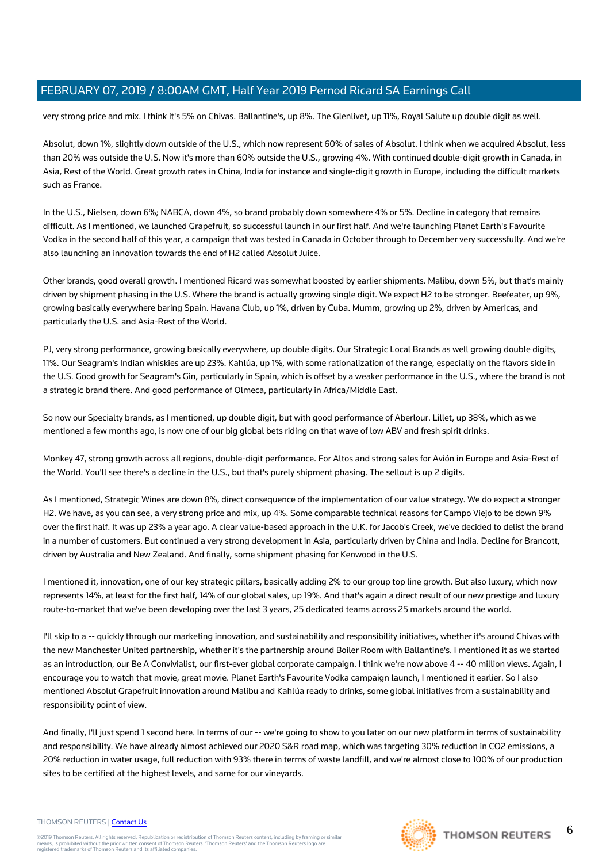very strong price and mix. I think it's 5% on Chivas. Ballantine's, up 8%. The Glenlivet, up 11%, Royal Salute up double digit as well.

Absolut, down 1%, slightly down outside of the U.S., which now represent 60% of sales of Absolut. I think when we acquired Absolut, less than 20% was outside the U.S. Now it's more than 60% outside the U.S., growing 4%. With continued double-digit growth in Canada, in Asia, Rest of the World. Great growth rates in China, India for instance and single-digit growth in Europe, including the difficult markets such as France.

In the U.S., Nielsen, down 6%; NABCA, down 4%, so brand probably down somewhere 4% or 5%. Decline in category that remains difficult. As I mentioned, we launched Grapefruit, so successful launch in our first half. And we're launching Planet Earth's Favourite Vodka in the second half of this year, a campaign that was tested in Canada in October through to December very successfully. And we're also launching an innovation towards the end of H2 called Absolut Juice.

Other brands, good overall growth. I mentioned Ricard was somewhat boosted by earlier shipments. Malibu, down 5%, but that's mainly driven by shipment phasing in the U.S. Where the brand is actually growing single digit. We expect H2 to be stronger. Beefeater, up 9%, growing basically everywhere baring Spain. Havana Club, up 1%, driven by Cuba. Mumm, growing up 2%, driven by Americas, and particularly the U.S. and Asia-Rest of the World.

PJ, very strong performance, growing basically everywhere, up double digits. Our Strategic Local Brands as well growing double digits, 11%. Our Seagram's Indian whiskies are up 23%. Kahlúa, up 1%, with some rationalization of the range, especially on the flavors side in the U.S. Good growth for Seagram's Gin, particularly in Spain, which is offset by a weaker performance in the U.S., where the brand is not a strategic brand there. And good performance of Olmeca, particularly in Africa/Middle East.

So now our Specialty brands, as I mentioned, up double digit, but with good performance of Aberlour. Lillet, up 38%, which as we mentioned a few months ago, is now one of our big global bets riding on that wave of low ABV and fresh spirit drinks.

Monkey 47, strong growth across all regions, double-digit performance. For Altos and strong sales for Avión in Europe and Asia-Rest of the World. You'll see there's a decline in the U.S., but that's purely shipment phasing. The sellout is up 2 digits.

As I mentioned, Strategic Wines are down 8%, direct consequence of the implementation of our value strategy. We do expect a stronger H2. We have, as you can see, a very strong price and mix, up 4%. Some comparable technical reasons for Campo Viejo to be down 9% over the first half. It was up 23% a year ago. A clear value-based approach in the U.K. for Jacob's Creek, we've decided to delist the brand in a number of customers. But continued a very strong development in Asia, particularly driven by China and India. Decline for Brancott, driven by Australia and New Zealand. And finally, some shipment phasing for Kenwood in the U.S.

I mentioned it, innovation, one of our key strategic pillars, basically adding 2% to our group top line growth. But also luxury, which now represents 14%, at least for the first half, 14% of our global sales, up 19%. And that's again a direct result of our new prestige and luxury route-to-market that we've been developing over the last 3 years, 25 dedicated teams across 25 markets around the world.

I'll skip to a -- quickly through our marketing innovation, and sustainability and responsibility initiatives, whether it's around Chivas with the new Manchester United partnership, whether it's the partnership around Boiler Room with Ballantine's. I mentioned it as we started as an introduction, our Be A Convivialist, our first-ever global corporate campaign. I think we're now above 4 -- 40 million views. Again, I encourage you to watch that movie, great movie. Planet Earth's Favourite Vodka campaign launch, I mentioned it earlier. So I also mentioned Absolut Grapefruit innovation around Malibu and Kahlúa ready to drinks, some global initiatives from a sustainability and responsibility point of view.

And finally, I'll just spend 1 second here. In terms of our -- we're going to show to you later on our new platform in terms of sustainability and responsibility. We have already almost achieved our 2020 S&R road map, which was targeting 30% reduction in CO2 emissions, a 20% reduction in water usage, full reduction with 93% there in terms of waste landfill, and we're almost close to 100% of our production sites to be certified at the highest levels, and same for our vineyards.

#### THOMSON REUTERS | [Contact Us](https://my.thomsonreuters.com/ContactUsNew)

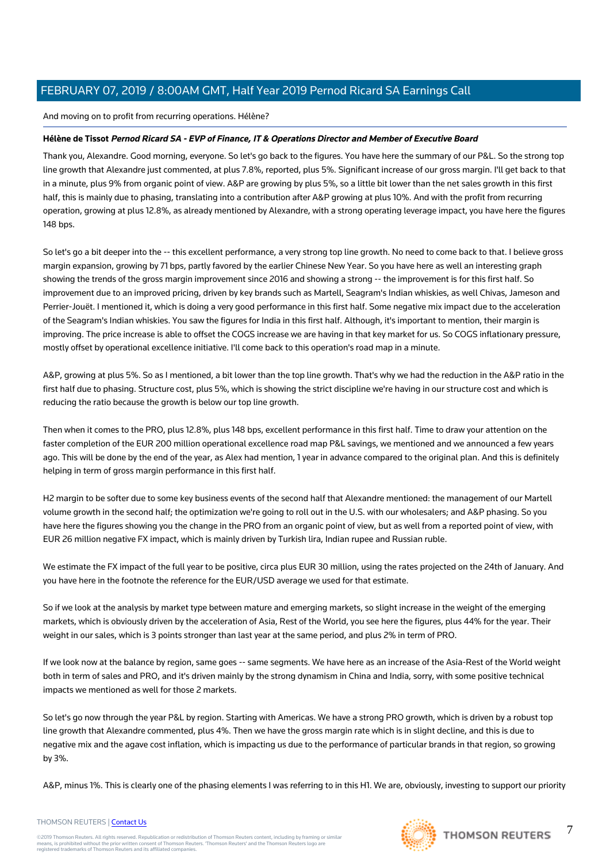And moving on to profit from recurring operations. Hélène?

# **Hélène de Tissot Pernod Ricard SA - EVP of Finance, IT & Operations Director and Member of Executive Board**

Thank you, Alexandre. Good morning, everyone. So let's go back to the figures. You have here the summary of our P&L. So the strong top line growth that Alexandre just commented, at plus 7.8%, reported, plus 5%. Significant increase of our gross margin. I'll get back to that in a minute, plus 9% from organic point of view. A&P are growing by plus 5%, so a little bit lower than the net sales growth in this first half, this is mainly due to phasing, translating into a contribution after A&P growing at plus 10%. And with the profit from recurring operation, growing at plus 12.8%, as already mentioned by Alexandre, with a strong operating leverage impact, you have here the figures 148 bps.

So let's go a bit deeper into the -- this excellent performance, a very strong top line growth. No need to come back to that. I believe gross margin expansion, growing by 71 bps, partly favored by the earlier Chinese New Year. So you have here as well an interesting graph showing the trends of the gross margin improvement since 2016 and showing a strong -- the improvement is for this first half. So improvement due to an improved pricing, driven by key brands such as Martell, Seagram's Indian whiskies, as well Chivas, Jameson and Perrier-Jouët. I mentioned it, which is doing a very good performance in this first half. Some negative mix impact due to the acceleration of the Seagram's Indian whiskies. You saw the figures for India in this first half. Although, it's important to mention, their margin is improving. The price increase is able to offset the COGS increase we are having in that key market for us. So COGS inflationary pressure, mostly offset by operational excellence initiative. I'll come back to this operation's road map in a minute.

A&P, growing at plus 5%. So as I mentioned, a bit lower than the top line growth. That's why we had the reduction in the A&P ratio in the first half due to phasing. Structure cost, plus 5%, which is showing the strict discipline we're having in our structure cost and which is reducing the ratio because the growth is below our top line growth.

Then when it comes to the PRO, plus 12.8%, plus 148 bps, excellent performance in this first half. Time to draw your attention on the faster completion of the EUR 200 million operational excellence road map P&L savings, we mentioned and we announced a few years ago. This will be done by the end of the year, as Alex had mention, 1 year in advance compared to the original plan. And this is definitely helping in term of gross margin performance in this first half.

H2 margin to be softer due to some key business events of the second half that Alexandre mentioned: the management of our Martell volume growth in the second half; the optimization we're going to roll out in the U.S. with our wholesalers; and A&P phasing. So you have here the figures showing you the change in the PRO from an organic point of view, but as well from a reported point of view, with EUR 26 million negative FX impact, which is mainly driven by Turkish lira, Indian rupee and Russian ruble.

We estimate the FX impact of the full year to be positive, circa plus EUR 30 million, using the rates projected on the 24th of January. And you have here in the footnote the reference for the EUR/USD average we used for that estimate.

So if we look at the analysis by market type between mature and emerging markets, so slight increase in the weight of the emerging markets, which is obviously driven by the acceleration of Asia, Rest of the World, you see here the figures, plus 44% for the year. Their weight in our sales, which is 3 points stronger than last year at the same period, and plus 2% in term of PRO.

If we look now at the balance by region, same goes -- same segments. We have here as an increase of the Asia-Rest of the World weight both in term of sales and PRO, and it's driven mainly by the strong dynamism in China and India, sorry, with some positive technical impacts we mentioned as well for those 2 markets.

So let's go now through the year P&L by region. Starting with Americas. We have a strong PRO growth, which is driven by a robust top line growth that Alexandre commented, plus 4%. Then we have the gross margin rate which is in slight decline, and this is due to negative mix and the agave cost inflation, which is impacting us due to the performance of particular brands in that region, so growing by 3%.

A&P, minus 1%. This is clearly one of the phasing elements I was referring to in this H1. We are, obviously, investing to support our priority



## THOMSON REUTERS | [Contact Us](https://my.thomsonreuters.com/ContactUsNew)

©2019 Thomson Reuters. All rights reserved. Republication or redistribution of Thomson Reuters content, including by framing or similar<br>means, is prohibited without the prior written consent of Thomson Reuters. "Thomson Re

7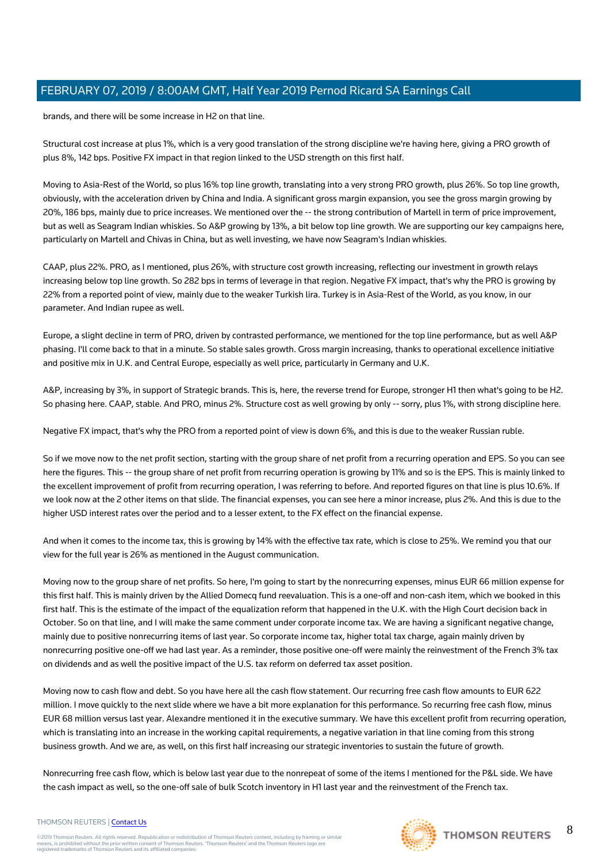brands, and there will be some increase in H2 on that line.

Structural cost increase at plus 1%, which is a very good translation of the strong discipline we're having here, giving a PRO growth of plus 8%, 142 bps. Positive FX impact in that region linked to the USD strength on this first half.

Moving to Asia-Rest of the World, so plus 16% top line growth, translating into a very strong PRO growth, plus 26%. So top line growth, obviously, with the acceleration driven by China and India. A significant gross margin expansion, you see the gross margin growing by 20%, 186 bps, mainly due to price increases. We mentioned over the -- the strong contribution of Martell in term of price improvement, but as well as Seagram Indian whiskies. So A&P growing by 13%, a bit below top line growth. We are supporting our key campaigns here, particularly on Martell and Chivas in China, but as well investing, we have now Seagram's Indian whiskies.

CAAP, plus 22%. PRO, as I mentioned, plus 26%, with structure cost growth increasing, reflecting our investment in growth relays increasing below top line growth. So 282 bps in terms of leverage in that region. Negative FX impact, that's why the PRO is growing by 22% from a reported point of view, mainly due to the weaker Turkish lira. Turkey is in Asia-Rest of the World, as you know, in our parameter. And Indian rupee as well.

Europe, a slight decline in term of PRO, driven by contrasted performance, we mentioned for the top line performance, but as well A&P phasing. I'll come back to that in a minute. So stable sales growth. Gross margin increasing, thanks to operational excellence initiative and positive mix in U.K. and Central Europe, especially as well price, particularly in Germany and U.K.

A&P, increasing by 3%, in support of Strategic brands. This is, here, the reverse trend for Europe, stronger H1 then what's going to be H2. So phasing here. CAAP, stable. And PRO, minus 2%. Structure cost as well growing by only -- sorry, plus 1%, with strong discipline here.

Negative FX impact, that's why the PRO from a reported point of view is down 6%, and this is due to the weaker Russian ruble.

So if we move now to the net profit section, starting with the group share of net profit from a recurring operation and EPS. So you can see here the figures. This -- the group share of net profit from recurring operation is growing by 11% and so is the EPS. This is mainly linked to the excellent improvement of profit from recurring operation, I was referring to before. And reported figures on that line is plus 10.6%. If we look now at the 2 other items on that slide. The financial expenses, you can see here a minor increase, plus 2%. And this is due to the higher USD interest rates over the period and to a lesser extent, to the FX effect on the financial expense.

And when it comes to the income tax, this is growing by 14% with the effective tax rate, which is close to 25%. We remind you that our view for the full year is 26% as mentioned in the August communication.

Moving now to the group share of net profits. So here, I'm going to start by the nonrecurring expenses, minus EUR 66 million expense for this first half. This is mainly driven by the Allied Domecq fund reevaluation. This is a one-off and non-cash item, which we booked in this first half. This is the estimate of the impact of the equalization reform that happened in the U.K. with the High Court decision back in October. So on that line, and I will make the same comment under corporate income tax. We are having a significant negative change, mainly due to positive nonrecurring items of last year. So corporate income tax, higher total tax charge, again mainly driven by nonrecurring positive one-off we had last year. As a reminder, those positive one-off were mainly the reinvestment of the French 3% tax on dividends and as well the positive impact of the U.S. tax reform on deferred tax asset position.

Moving now to cash flow and debt. So you have here all the cash flow statement. Our recurring free cash flow amounts to EUR 622 million. I move quickly to the next slide where we have a bit more explanation for this performance. So recurring free cash flow, minus EUR 68 million versus last year. Alexandre mentioned it in the executive summary. We have this excellent profit from recurring operation, which is translating into an increase in the working capital requirements, a negative variation in that line coming from this strong business growth. And we are, as well, on this first half increasing our strategic inventories to sustain the future of growth.

Nonrecurring free cash flow, which is below last year due to the nonrepeat of some of the items I mentioned for the P&L side. We have the cash impact as well, so the one-off sale of bulk Scotch inventory in H1 last year and the reinvestment of the French tax.

#### THOMSON REUTERS | [Contact Us](https://my.thomsonreuters.com/ContactUsNew)

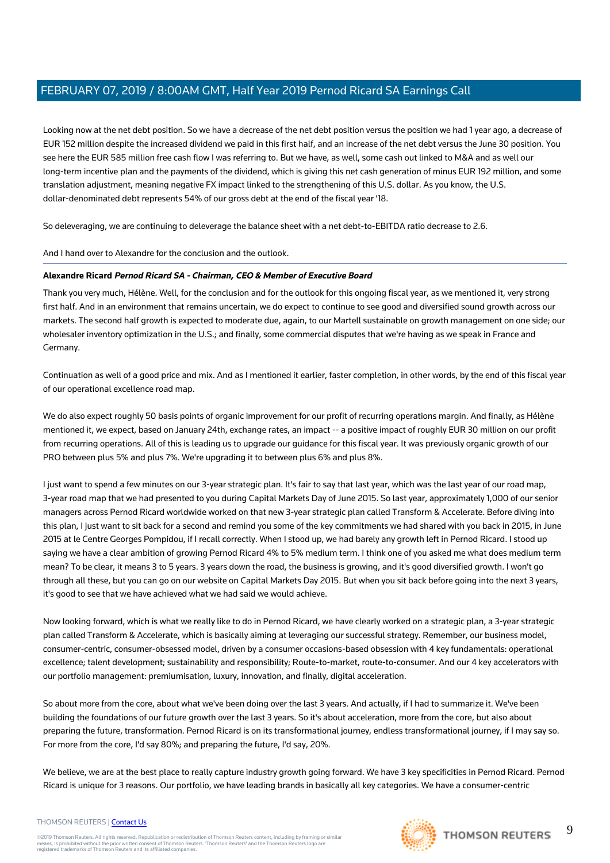Looking now at the net debt position. So we have a decrease of the net debt position versus the position we had 1 year ago, a decrease of EUR 152 million despite the increased dividend we paid in this first half, and an increase of the net debt versus the June 30 position. You see here the EUR 585 million free cash flow I was referring to. But we have, as well, some cash out linked to M&A and as well our long-term incentive plan and the payments of the dividend, which is giving this net cash generation of minus EUR 192 million, and some translation adjustment, meaning negative FX impact linked to the strengthening of this U.S. dollar. As you know, the U.S. dollar-denominated debt represents 54% of our gross debt at the end of the fiscal year '18.

So deleveraging, we are continuing to deleverage the balance sheet with a net debt-to-EBITDA ratio decrease to 2.6.

And I hand over to Alexandre for the conclusion and the outlook.

## **Alexandre Ricard Pernod Ricard SA - Chairman, CEO & Member of Executive Board**

Thank you very much, Hélène. Well, for the conclusion and for the outlook for this ongoing fiscal year, as we mentioned it, very strong first half. And in an environment that remains uncertain, we do expect to continue to see good and diversified sound growth across our markets. The second half growth is expected to moderate due, again, to our Martell sustainable on growth management on one side; our wholesaler inventory optimization in the U.S.; and finally, some commercial disputes that we're having as we speak in France and Germany.

Continuation as well of a good price and mix. And as I mentioned it earlier, faster completion, in other words, by the end of this fiscal year of our operational excellence road map.

We do also expect roughly 50 basis points of organic improvement for our profit of recurring operations margin. And finally, as Hélène mentioned it, we expect, based on January 24th, exchange rates, an impact -- a positive impact of roughly EUR 30 million on our profit from recurring operations. All of this is leading us to upgrade our guidance for this fiscal year. It was previously organic growth of our PRO between plus 5% and plus 7%. We're upgrading it to between plus 6% and plus 8%.

I just want to spend a few minutes on our 3-year strategic plan. It's fair to say that last year, which was the last year of our road map, 3-year road map that we had presented to you during Capital Markets Day of June 2015. So last year, approximately 1,000 of our senior managers across Pernod Ricard worldwide worked on that new 3-year strategic plan called Transform & Accelerate. Before diving into this plan, I just want to sit back for a second and remind you some of the key commitments we had shared with you back in 2015, in June 2015 at le Centre Georges Pompidou, if I recall correctly. When I stood up, we had barely any growth left in Pernod Ricard. I stood up saying we have a clear ambition of growing Pernod Ricard 4% to 5% medium term. I think one of you asked me what does medium term mean? To be clear, it means 3 to 5 years. 3 years down the road, the business is growing, and it's good diversified growth. I won't go through all these, but you can go on our website on Capital Markets Day 2015. But when you sit back before going into the next 3 years, it's good to see that we have achieved what we had said we would achieve.

Now looking forward, which is what we really like to do in Pernod Ricard, we have clearly worked on a strategic plan, a 3-year strategic plan called Transform & Accelerate, which is basically aiming at leveraging our successful strategy. Remember, our business model, consumer-centric, consumer-obsessed model, driven by a consumer occasions-based obsession with 4 key fundamentals: operational excellence; talent development; sustainability and responsibility; Route-to-market, route-to-consumer. And our 4 key accelerators with our portfolio management: premiumisation, luxury, innovation, and finally, digital acceleration.

So about more from the core, about what we've been doing over the last 3 years. And actually, if I had to summarize it. We've been building the foundations of our future growth over the last 3 years. So it's about acceleration, more from the core, but also about preparing the future, transformation. Pernod Ricard is on its transformational journey, endless transformational journey, if I may say so. For more from the core, I'd say 80%; and preparing the future, I'd say, 20%.

We believe, we are at the best place to really capture industry growth going forward. We have 3 key specificities in Pernod Ricard. Pernod Ricard is unique for 3 reasons. Our portfolio, we have leading brands in basically all key categories. We have a consumer-centric

#### THOMSON REUTERS | [Contact Us](https://my.thomsonreuters.com/ContactUsNew)

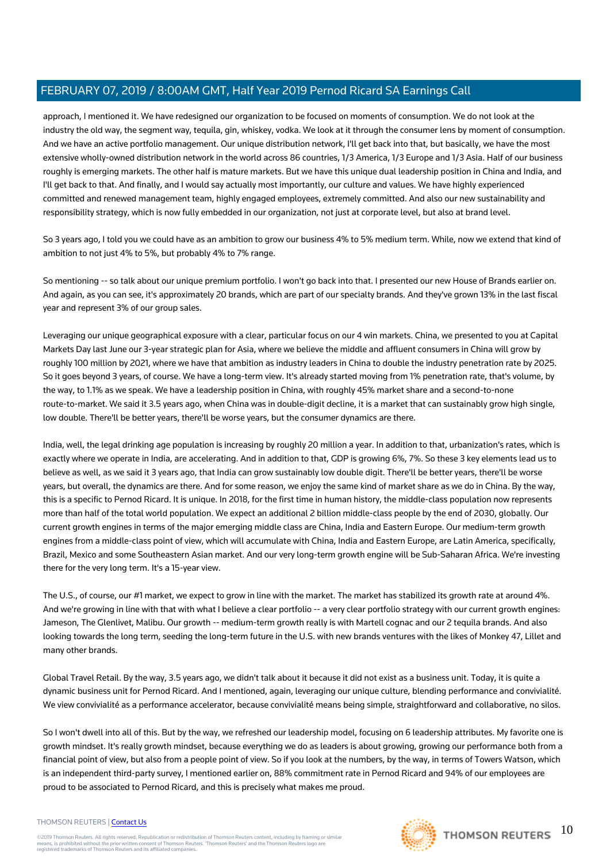approach, I mentioned it. We have redesigned our organization to be focused on moments of consumption. We do not look at the industry the old way, the segment way, tequila, gin, whiskey, vodka. We look at it through the consumer lens by moment of consumption. And we have an active portfolio management. Our unique distribution network, I'll get back into that, but basically, we have the most extensive wholly-owned distribution network in the world across 86 countries, 1/3 America, 1/3 Europe and 1/3 Asia. Half of our business roughly is emerging markets. The other half is mature markets. But we have this unique dual leadership position in China and India, and I'll get back to that. And finally, and I would say actually most importantly, our culture and values. We have highly experienced committed and renewed management team, highly engaged employees, extremely committed. And also our new sustainability and responsibility strategy, which is now fully embedded in our organization, not just at corporate level, but also at brand level.

So 3 years ago, I told you we could have as an ambition to grow our business 4% to 5% medium term. While, now we extend that kind of ambition to not just 4% to 5%, but probably 4% to 7% range.

So mentioning -- so talk about our unique premium portfolio. I won't go back into that. I presented our new House of Brands earlier on. And again, as you can see, it's approximately 20 brands, which are part of our specialty brands. And they've grown 13% in the last fiscal year and represent 3% of our group sales.

Leveraging our unique geographical exposure with a clear, particular focus on our 4 win markets. China, we presented to you at Capital Markets Day last June our 3-year strategic plan for Asia, where we believe the middle and affluent consumers in China will grow by roughly 100 million by 2021, where we have that ambition as industry leaders in China to double the industry penetration rate by 2025. So it goes beyond 3 years, of course. We have a long-term view. It's already started moving from 1% penetration rate, that's volume, by the way, to 1.1% as we speak. We have a leadership position in China, with roughly 45% market share and a second-to-none route-to-market. We said it 3.5 years ago, when China was in double-digit decline, it is a market that can sustainably grow high single, low double. There'll be better years, there'll be worse years, but the consumer dynamics are there.

India, well, the legal drinking age population is increasing by roughly 20 million a year. In addition to that, urbanization's rates, which is exactly where we operate in India, are accelerating. And in addition to that, GDP is growing 6%, 7%. So these 3 key elements lead us to believe as well, as we said it 3 years ago, that India can grow sustainably low double digit. There'll be better years, there'll be worse years, but overall, the dynamics are there. And for some reason, we enjoy the same kind of market share as we do in China. By the way, this is a specific to Pernod Ricard. It is unique. In 2018, for the first time in human history, the middle-class population now represents more than half of the total world population. We expect an additional 2 billion middle-class people by the end of 2030, globally. Our current growth engines in terms of the major emerging middle class are China, India and Eastern Europe. Our medium-term growth engines from a middle-class point of view, which will accumulate with China, India and Eastern Europe, are Latin America, specifically, Brazil, Mexico and some Southeastern Asian market. And our very long-term growth engine will be Sub-Saharan Africa. We're investing there for the very long term. It's a 15-year view.

The U.S., of course, our #1 market, we expect to grow in line with the market. The market has stabilized its growth rate at around 4%. And we're growing in line with that with what I believe a clear portfolio -- a very clear portfolio strategy with our current growth engines: Jameson, The Glenlivet, Malibu. Our growth -- medium-term growth really is with Martell cognac and our 2 tequila brands. And also looking towards the long term, seeding the long-term future in the U.S. with new brands ventures with the likes of Monkey 47, Lillet and many other brands.

Global Travel Retail. By the way, 3.5 years ago, we didn't talk about it because it did not exist as a business unit. Today, it is quite a dynamic business unit for Pernod Ricard. And I mentioned, again, leveraging our unique culture, blending performance and convivialité. We view convivialité as a performance accelerator, because convivialité means being simple, straightforward and collaborative, no silos.

So I won't dwell into all of this. But by the way, we refreshed our leadership model, focusing on 6 leadership attributes. My favorite one is growth mindset. It's really growth mindset, because everything we do as leaders is about growing, growing our performance both from a financial point of view, but also from a people point of view. So if you look at the numbers, by the way, in terms of Towers Watson, which is an independent third-party survey, I mentioned earlier on, 88% commitment rate in Pernod Ricard and 94% of our employees are proud to be associated to Pernod Ricard, and this is precisely what makes me proud.

#### THOMSON REUTERS | [Contact Us](https://my.thomsonreuters.com/ContactUsNew)

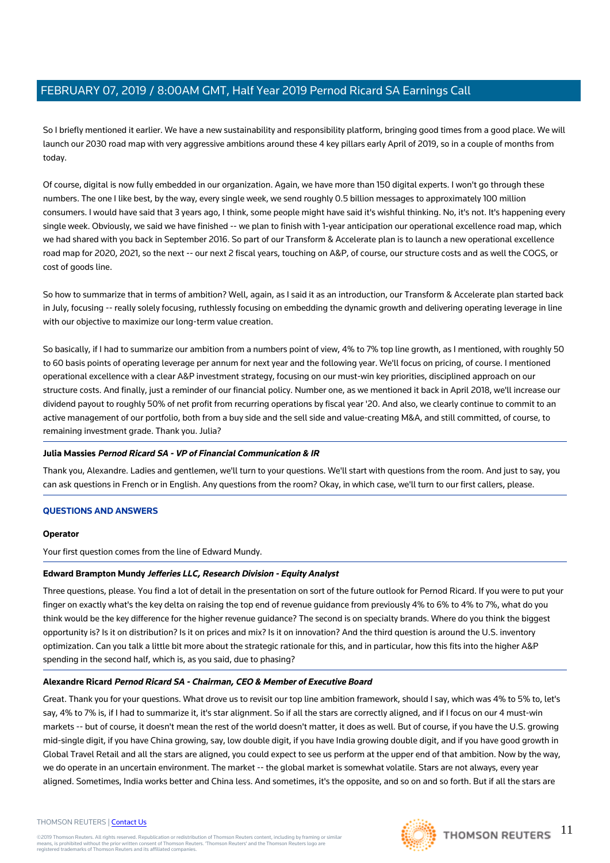So I briefly mentioned it earlier. We have a new sustainability and responsibility platform, bringing good times from a good place. We will launch our 2030 road map with very aggressive ambitions around these 4 key pillars early April of 2019, so in a couple of months from today.

Of course, digital is now fully embedded in our organization. Again, we have more than 150 digital experts. I won't go through these numbers. The one I like best, by the way, every single week, we send roughly 0.5 billion messages to approximately 100 million consumers. I would have said that 3 years ago, I think, some people might have said it's wishful thinking. No, it's not. It's happening every single week. Obviously, we said we have finished -- we plan to finish with 1-year anticipation our operational excellence road map, which we had shared with you back in September 2016. So part of our Transform & Accelerate plan is to launch a new operational excellence road map for 2020, 2021, so the next -- our next 2 fiscal years, touching on A&P, of course, our structure costs and as well the COGS, or cost of goods line.

So how to summarize that in terms of ambition? Well, again, as I said it as an introduction, our Transform & Accelerate plan started back in July, focusing -- really solely focusing, ruthlessly focusing on embedding the dynamic growth and delivering operating leverage in line with our objective to maximize our long-term value creation.

So basically, if I had to summarize our ambition from a numbers point of view, 4% to 7% top line growth, as I mentioned, with roughly 50 to 60 basis points of operating leverage per annum for next year and the following year. We'll focus on pricing, of course. I mentioned operational excellence with a clear A&P investment strategy, focusing on our must-win key priorities, disciplined approach on our structure costs. And finally, just a reminder of our financial policy. Number one, as we mentioned it back in April 2018, we'll increase our dividend payout to roughly 50% of net profit from recurring operations by fiscal year '20. And also, we clearly continue to commit to an active management of our portfolio, both from a buy side and the sell side and value-creating M&A, and still committed, of course, to remaining investment grade. Thank you. Julia?

## **Julia Massies Pernod Ricard SA - VP of Financial Communication & IR**

Thank you, Alexandre. Ladies and gentlemen, we'll turn to your questions. We'll start with questions from the room. And just to say, you can ask questions in French or in English. Any questions from the room? Okay, in which case, we'll turn to our first callers, please.

## **QUESTIONS AND ANSWERS**

#### **Operator**

Your first question comes from the line of Edward Mundy.

## **Edward Brampton Mundy Jefferies LLC, Research Division - Equity Analyst**

Three questions, please. You find a lot of detail in the presentation on sort of the future outlook for Pernod Ricard. If you were to put your finger on exactly what's the key delta on raising the top end of revenue guidance from previously 4% to 6% to 4% to 7%, what do you think would be the key difference for the higher revenue guidance? The second is on specialty brands. Where do you think the biggest opportunity is? Is it on distribution? Is it on prices and mix? Is it on innovation? And the third question is around the U.S. inventory optimization. Can you talk a little bit more about the strategic rationale for this, and in particular, how this fits into the higher A&P spending in the second half, which is, as you said, due to phasing?

## **Alexandre Ricard Pernod Ricard SA - Chairman, CEO & Member of Executive Board**

Great. Thank you for your questions. What drove us to revisit our top line ambition framework, should I say, which was 4% to 5% to, let's say, 4% to 7% is, if I had to summarize it, it's star alignment. So if all the stars are correctly aligned, and if I focus on our 4 must-win markets -- but of course, it doesn't mean the rest of the world doesn't matter, it does as well. But of course, if you have the U.S. growing mid-single digit, if you have China growing, say, low double digit, if you have India growing double digit, and if you have good growth in Global Travel Retail and all the stars are aligned, you could expect to see us perform at the upper end of that ambition. Now by the way, we do operate in an uncertain environment. The market -- the global market is somewhat volatile. Stars are not always, every year aligned. Sometimes, India works better and China less. And sometimes, it's the opposite, and so on and so forth. But if all the stars are

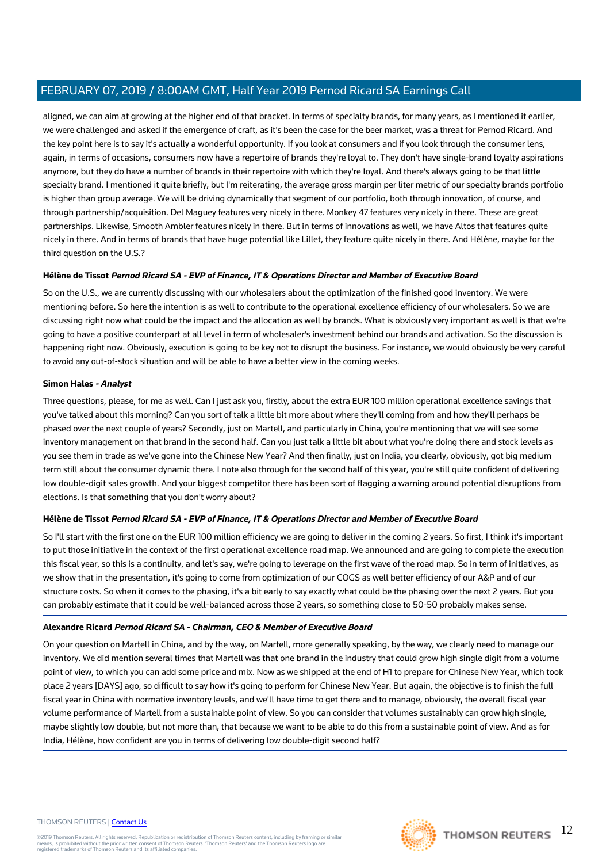aligned, we can aim at growing at the higher end of that bracket. In terms of specialty brands, for many years, as I mentioned it earlier, we were challenged and asked if the emergence of craft, as it's been the case for the beer market, was a threat for Pernod Ricard. And the key point here is to say it's actually a wonderful opportunity. If you look at consumers and if you look through the consumer lens, again, in terms of occasions, consumers now have a repertoire of brands they're loyal to. They don't have single-brand loyalty aspirations anymore, but they do have a number of brands in their repertoire with which they're loyal. And there's always going to be that little specialty brand. I mentioned it quite briefly, but I'm reiterating, the average gross margin per liter metric of our specialty brands portfolio is higher than group average. We will be driving dynamically that segment of our portfolio, both through innovation, of course, and through partnership/acquisition. Del Maguey features very nicely in there. Monkey 47 features very nicely in there. These are great partnerships. Likewise, Smooth Ambler features nicely in there. But in terms of innovations as well, we have Altos that features quite nicely in there. And in terms of brands that have huge potential like Lillet, they feature quite nicely in there. And Hélène, maybe for the third question on the U.S.?

## **Hélène de Tissot Pernod Ricard SA - EVP of Finance, IT & Operations Director and Member of Executive Board**

So on the U.S., we are currently discussing with our wholesalers about the optimization of the finished good inventory. We were mentioning before. So here the intention is as well to contribute to the operational excellence efficiency of our wholesalers. So we are discussing right now what could be the impact and the allocation as well by brands. What is obviously very important as well is that we're going to have a positive counterpart at all level in term of wholesaler's investment behind our brands and activation. So the discussion is happening right now. Obviously, execution is going to be key not to disrupt the business. For instance, we would obviously be very careful to avoid any out-of-stock situation and will be able to have a better view in the coming weeks.

## **Simon Hales - Analyst**

Three questions, please, for me as well. Can I just ask you, firstly, about the extra EUR 100 million operational excellence savings that you've talked about this morning? Can you sort of talk a little bit more about where they'll coming from and how they'll perhaps be phased over the next couple of years? Secondly, just on Martell, and particularly in China, you're mentioning that we will see some inventory management on that brand in the second half. Can you just talk a little bit about what you're doing there and stock levels as you see them in trade as we've gone into the Chinese New Year? And then finally, just on India, you clearly, obviously, got big medium term still about the consumer dynamic there. I note also through for the second half of this year, you're still quite confident of delivering low double-digit sales growth. And your biggest competitor there has been sort of flagging a warning around potential disruptions from elections. Is that something that you don't worry about?

# **Hélène de Tissot Pernod Ricard SA - EVP of Finance, IT & Operations Director and Member of Executive Board**

So I'll start with the first one on the EUR 100 million efficiency we are going to deliver in the coming 2 years. So first, I think it's important to put those initiative in the context of the first operational excellence road map. We announced and are going to complete the execution this fiscal year, so this is a continuity, and let's say, we're going to leverage on the first wave of the road map. So in term of initiatives, as we show that in the presentation, it's going to come from optimization of our COGS as well better efficiency of our A&P and of our structure costs. So when it comes to the phasing, it's a bit early to say exactly what could be the phasing over the next 2 years. But you can probably estimate that it could be well-balanced across those 2 years, so something close to 50-50 probably makes sense.

# **Alexandre Ricard Pernod Ricard SA - Chairman, CEO & Member of Executive Board**

On your question on Martell in China, and by the way, on Martell, more generally speaking, by the way, we clearly need to manage our inventory. We did mention several times that Martell was that one brand in the industry that could grow high single digit from a volume point of view, to which you can add some price and mix. Now as we shipped at the end of H1 to prepare for Chinese New Year, which took place 2 years [DAYS] ago, so difficult to say how it's going to perform for Chinese New Year. But again, the objective is to finish the full fiscal year in China with normative inventory levels, and we'll have time to get there and to manage, obviously, the overall fiscal year volume performance of Martell from a sustainable point of view. So you can consider that volumes sustainably can grow high single, maybe slightly low double, but not more than, that because we want to be able to do this from a sustainable point of view. And as for India, Hélène, how confident are you in terms of delivering low double-digit second half?

#### THOMSON REUTERS | [Contact Us](https://my.thomsonreuters.com/ContactUsNew)

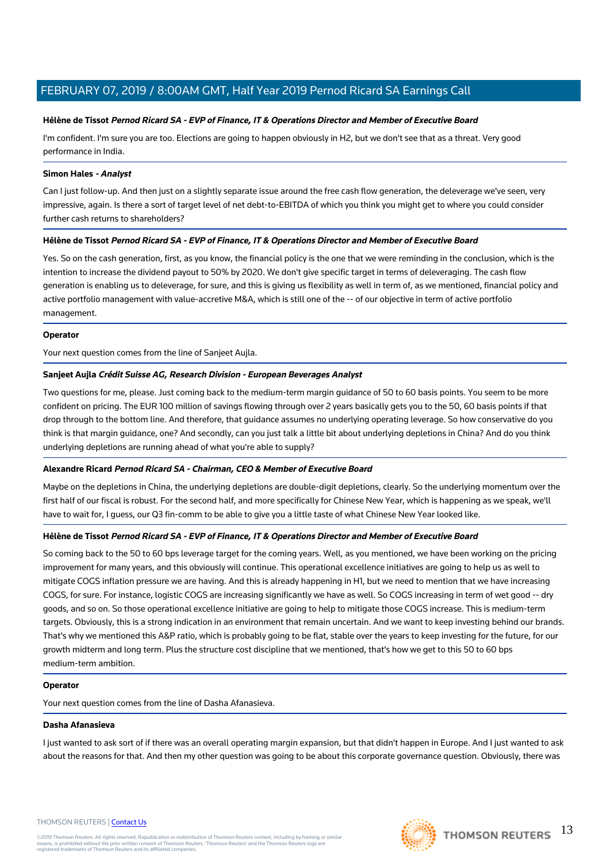## **Hélène de Tissot Pernod Ricard SA - EVP of Finance, IT & Operations Director and Member of Executive Board**

I'm confident. I'm sure you are too. Elections are going to happen obviously in H2, but we don't see that as a threat. Very good performance in India.

## **Simon Hales - Analyst**

Can I just follow-up. And then just on a slightly separate issue around the free cash flow generation, the deleverage we've seen, very impressive, again. Is there a sort of target level of net debt-to-EBITDA of which you think you might get to where you could consider further cash returns to shareholders?

# **Hélène de Tissot Pernod Ricard SA - EVP of Finance, IT & Operations Director and Member of Executive Board**

Yes. So on the cash generation, first, as you know, the financial policy is the one that we were reminding in the conclusion, which is the intention to increase the dividend payout to 50% by 2020. We don't give specific target in terms of deleveraging. The cash flow generation is enabling us to deleverage, for sure, and this is giving us flexibility as well in term of, as we mentioned, financial policy and active portfolio management with value-accretive M&A, which is still one of the -- of our objective in term of active portfolio management.

## **Operator**

Your next question comes from the line of Sanjeet Aujla.

# **Sanjeet Aujla Crédit Suisse AG, Research Division - European Beverages Analyst**

Two questions for me, please. Just coming back to the medium-term margin guidance of 50 to 60 basis points. You seem to be more confident on pricing. The EUR 100 million of savings flowing through over 2 years basically gets you to the 50, 60 basis points if that drop through to the bottom line. And therefore, that guidance assumes no underlying operating leverage. So how conservative do you think is that margin guidance, one? And secondly, can you just talk a little bit about underlying depletions in China? And do you think underlying depletions are running ahead of what you're able to supply?

# **Alexandre Ricard Pernod Ricard SA - Chairman, CEO & Member of Executive Board**

Maybe on the depletions in China, the underlying depletions are double-digit depletions, clearly. So the underlying momentum over the first half of our fiscal is robust. For the second half, and more specifically for Chinese New Year, which is happening as we speak, we'll have to wait for, I guess, our Q3 fin-comm to be able to give you a little taste of what Chinese New Year looked like.

# **Hélène de Tissot Pernod Ricard SA - EVP of Finance, IT & Operations Director and Member of Executive Board**

So coming back to the 50 to 60 bps leverage target for the coming years. Well, as you mentioned, we have been working on the pricing improvement for many years, and this obviously will continue. This operational excellence initiatives are going to help us as well to mitigate COGS inflation pressure we are having. And this is already happening in H1, but we need to mention that we have increasing COGS, for sure. For instance, logistic COGS are increasing significantly we have as well. So COGS increasing in term of wet good -- dry goods, and so on. So those operational excellence initiative are going to help to mitigate those COGS increase. This is medium-term targets. Obviously, this is a strong indication in an environment that remain uncertain. And we want to keep investing behind our brands. That's why we mentioned this A&P ratio, which is probably going to be flat, stable over the years to keep investing for the future, for our growth midterm and long term. Plus the structure cost discipline that we mentioned, that's how we get to this 50 to 60 bps medium-term ambition.

## **Operator**

Your next question comes from the line of Dasha Afanasieva.

# **Dasha Afanasieva**

I just wanted to ask sort of if there was an overall operating margin expansion, but that didn't happen in Europe. And I just wanted to ask about the reasons for that. And then my other question was going to be about this corporate governance question. Obviously, there was

## THOMSON REUTERS | [Contact Us](https://my.thomsonreuters.com/ContactUsNew)

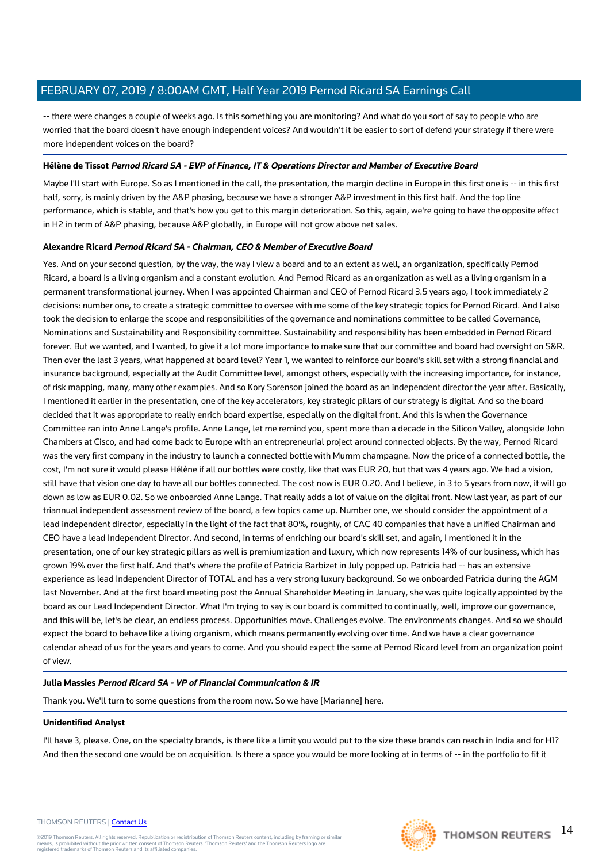-- there were changes a couple of weeks ago. Is this something you are monitoring? And what do you sort of say to people who are worried that the board doesn't have enough independent voices? And wouldn't it be easier to sort of defend your strategy if there were more independent voices on the board?

## **Hélène de Tissot Pernod Ricard SA - EVP of Finance, IT & Operations Director and Member of Executive Board**

Maybe I'll start with Europe. So as I mentioned in the call, the presentation, the margin decline in Europe in this first one is -- in this first half, sorry, is mainly driven by the A&P phasing, because we have a stronger A&P investment in this first half. And the top line performance, which is stable, and that's how you get to this margin deterioration. So this, again, we're going to have the opposite effect in H2 in term of A&P phasing, because A&P globally, in Europe will not grow above net sales.

## **Alexandre Ricard Pernod Ricard SA - Chairman, CEO & Member of Executive Board**

Yes. And on your second question, by the way, the way I view a board and to an extent as well, an organization, specifically Pernod Ricard, a board is a living organism and a constant evolution. And Pernod Ricard as an organization as well as a living organism in a permanent transformational journey. When I was appointed Chairman and CEO of Pernod Ricard 3.5 years ago, I took immediately 2 decisions: number one, to create a strategic committee to oversee with me some of the key strategic topics for Pernod Ricard. And I also took the decision to enlarge the scope and responsibilities of the governance and nominations committee to be called Governance, Nominations and Sustainability and Responsibility committee. Sustainability and responsibility has been embedded in Pernod Ricard forever. But we wanted, and I wanted, to give it a lot more importance to make sure that our committee and board had oversight on S&R. Then over the last 3 years, what happened at board level? Year 1, we wanted to reinforce our board's skill set with a strong financial and insurance background, especially at the Audit Committee level, amongst others, especially with the increasing importance, for instance, of risk mapping, many, many other examples. And so Kory Sorenson joined the board as an independent director the year after. Basically, I mentioned it earlier in the presentation, one of the key accelerators, key strategic pillars of our strategy is digital. And so the board decided that it was appropriate to really enrich board expertise, especially on the digital front. And this is when the Governance Committee ran into Anne Lange's profile. Anne Lange, let me remind you, spent more than a decade in the Silicon Valley, alongside John Chambers at Cisco, and had come back to Europe with an entrepreneurial project around connected objects. By the way, Pernod Ricard was the very first company in the industry to launch a connected bottle with Mumm champagne. Now the price of a connected bottle, the cost, I'm not sure it would please Hélène if all our bottles were costly, like that was EUR 20, but that was 4 years ago. We had a vision, still have that vision one day to have all our bottles connected. The cost now is EUR 0.20. And I believe, in 3 to 5 years from now, it will go down as low as EUR 0.02. So we onboarded Anne Lange. That really adds a lot of value on the digital front. Now last year, as part of our triannual independent assessment review of the board, a few topics came up. Number one, we should consider the appointment of a lead independent director, especially in the light of the fact that 80%, roughly, of CAC 40 companies that have a unified Chairman and CEO have a lead Independent Director. And second, in terms of enriching our board's skill set, and again, I mentioned it in the presentation, one of our key strategic pillars as well is premiumization and luxury, which now represents 14% of our business, which has grown 19% over the first half. And that's where the profile of Patricia Barbizet in July popped up. Patricia had -- has an extensive experience as lead Independent Director of TOTAL and has a very strong luxury background. So we onboarded Patricia during the AGM last November. And at the first board meeting post the Annual Shareholder Meeting in January, she was quite logically appointed by the board as our Lead Independent Director. What I'm trying to say is our board is committed to continually, well, improve our governance, and this will be, let's be clear, an endless process. Opportunities move. Challenges evolve. The environments changes. And so we should expect the board to behave like a living organism, which means permanently evolving over time. And we have a clear governance calendar ahead of us for the years and years to come. And you should expect the same at Pernod Ricard level from an organization point of view.

# **Julia Massies Pernod Ricard SA - VP of Financial Communication & IR**

Thank you. We'll turn to some questions from the room now. So we have [Marianne] here.

## **Unidentified Analyst**

I'll have 3, please. One, on the specialty brands, is there like a limit you would put to the size these brands can reach in India and for H1? And then the second one would be on acquisition. Is there a space you would be more looking at in terms of -- in the portfolio to fit it

#### THOMSON REUTERS | [Contact Us](https://my.thomsonreuters.com/ContactUsNew)

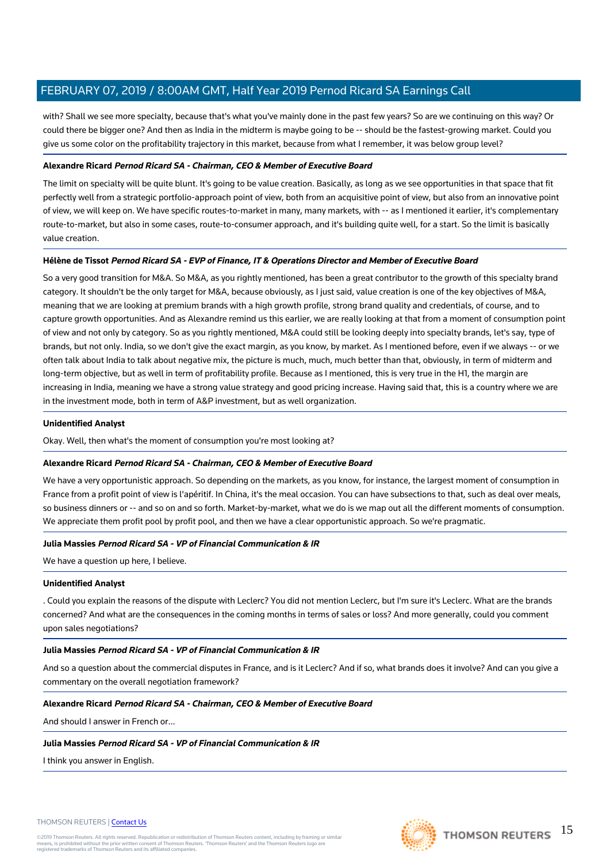with? Shall we see more specialty, because that's what you've mainly done in the past few years? So are we continuing on this way? Or could there be bigger one? And then as India in the midterm is maybe going to be -- should be the fastest-growing market. Could you give us some color on the profitability trajectory in this market, because from what I remember, it was below group level?

## **Alexandre Ricard Pernod Ricard SA - Chairman, CEO & Member of Executive Board**

The limit on specialty will be quite blunt. It's going to be value creation. Basically, as long as we see opportunities in that space that fit perfectly well from a strategic portfolio-approach point of view, both from an acquisitive point of view, but also from an innovative point of view, we will keep on. We have specific routes-to-market in many, many markets, with -- as I mentioned it earlier, it's complementary route-to-market, but also in some cases, route-to-consumer approach, and it's building quite well, for a start. So the limit is basically value creation.

## **Hélène de Tissot Pernod Ricard SA - EVP of Finance, IT & Operations Director and Member of Executive Board**

So a very good transition for M&A. So M&A, as you rightly mentioned, has been a great contributor to the growth of this specialty brand category. It shouldn't be the only target for M&A, because obviously, as I just said, value creation is one of the key objectives of M&A, meaning that we are looking at premium brands with a high growth profile, strong brand quality and credentials, of course, and to capture growth opportunities. And as Alexandre remind us this earlier, we are really looking at that from a moment of consumption point of view and not only by category. So as you rightly mentioned, M&A could still be looking deeply into specialty brands, let's say, type of brands, but not only. India, so we don't give the exact margin, as you know, by market. As I mentioned before, even if we always -- or we often talk about India to talk about negative mix, the picture is much, much, much better than that, obviously, in term of midterm and long-term objective, but as well in term of profitability profile. Because as I mentioned, this is very true in the H1, the margin are increasing in India, meaning we have a strong value strategy and good pricing increase. Having said that, this is a country where we are in the investment mode, both in term of A&P investment, but as well organization.

## **Unidentified Analyst**

Okay. Well, then what's the moment of consumption you're most looking at?

## **Alexandre Ricard Pernod Ricard SA - Chairman, CEO & Member of Executive Board**

We have a very opportunistic approach. So depending on the markets, as you know, for instance, the largest moment of consumption in France from a profit point of view is l'apéritif. In China, it's the meal occasion. You can have subsections to that, such as deal over meals, so business dinners or -- and so on and so forth. Market-by-market, what we do is we map out all the different moments of consumption. We appreciate them profit pool by profit pool, and then we have a clear opportunistic approach. So we're pragmatic.

## **Julia Massies Pernod Ricard SA - VP of Financial Communication & IR**

We have a question up here, I believe.

## **Unidentified Analyst**

. Could you explain the reasons of the dispute with Leclerc? You did not mention Leclerc, but I'm sure it's Leclerc. What are the brands concerned? And what are the consequences in the coming months in terms of sales or loss? And more generally, could you comment upon sales negotiations?

## **Julia Massies Pernod Ricard SA - VP of Financial Communication & IR**

And so a question about the commercial disputes in France, and is it Leclerc? And if so, what brands does it involve? And can you give a commentary on the overall negotiation framework?

## **Alexandre Ricard Pernod Ricard SA - Chairman, CEO & Member of Executive Board**

And should I answer in French or...

## **Julia Massies Pernod Ricard SA - VP of Financial Communication & IR**

I think you answer in English.

#### THOMSON REUTERS | [Contact Us](https://my.thomsonreuters.com/ContactUsNew)

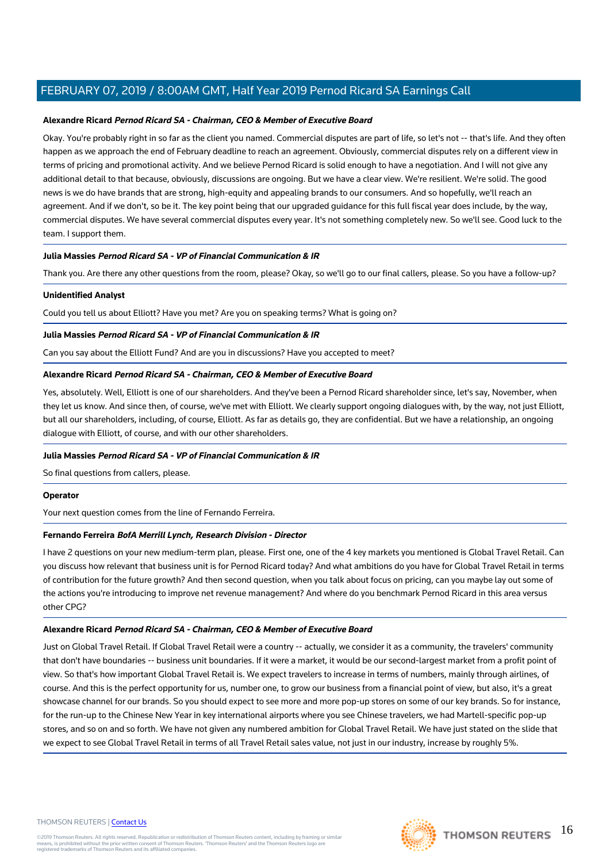#### **Alexandre Ricard Pernod Ricard SA - Chairman, CEO & Member of Executive Board**

Okay. You're probably right in so far as the client you named. Commercial disputes are part of life, so let's not -- that's life. And they often happen as we approach the end of February deadline to reach an agreement. Obviously, commercial disputes rely on a different view in terms of pricing and promotional activity. And we believe Pernod Ricard is solid enough to have a negotiation. And I will not give any additional detail to that because, obviously, discussions are ongoing. But we have a clear view. We're resilient. We're solid. The good news is we do have brands that are strong, high-equity and appealing brands to our consumers. And so hopefully, we'll reach an agreement. And if we don't, so be it. The key point being that our upgraded guidance for this full fiscal year does include, by the way, commercial disputes. We have several commercial disputes every year. It's not something completely new. So we'll see. Good luck to the team. I support them.

## **Julia Massies Pernod Ricard SA - VP of Financial Communication & IR**

Thank you. Are there any other questions from the room, please? Okay, so we'll go to our final callers, please. So you have a follow-up?

#### **Unidentified Analyst**

Could you tell us about Elliott? Have you met? Are you on speaking terms? What is going on?

#### **Julia Massies Pernod Ricard SA - VP of Financial Communication & IR**

Can you say about the Elliott Fund? And are you in discussions? Have you accepted to meet?

## **Alexandre Ricard Pernod Ricard SA - Chairman, CEO & Member of Executive Board**

Yes, absolutely. Well, Elliott is one of our shareholders. And they've been a Pernod Ricard shareholder since, let's say, November, when they let us know. And since then, of course, we've met with Elliott. We clearly support ongoing dialogues with, by the way, not just Elliott, but all our shareholders, including, of course, Elliott. As far as details go, they are confidential. But we have a relationship, an ongoing dialogue with Elliott, of course, and with our other shareholders.

#### **Julia Massies Pernod Ricard SA - VP of Financial Communication & IR**

So final questions from callers, please.

#### **Operator**

Your next question comes from the line of Fernando Ferreira.

#### **Fernando Ferreira BofA Merrill Lynch, Research Division - Director**

I have 2 questions on your new medium-term plan, please. First one, one of the 4 key markets you mentioned is Global Travel Retail. Can you discuss how relevant that business unit is for Pernod Ricard today? And what ambitions do you have for Global Travel Retail in terms of contribution for the future growth? And then second question, when you talk about focus on pricing, can you maybe lay out some of the actions you're introducing to improve net revenue management? And where do you benchmark Pernod Ricard in this area versus other CPG?

#### **Alexandre Ricard Pernod Ricard SA - Chairman, CEO & Member of Executive Board**

Just on Global Travel Retail. If Global Travel Retail were a country -- actually, we consider it as a community, the travelers' community that don't have boundaries -- business unit boundaries. If it were a market, it would be our second-largest market from a profit point of view. So that's how important Global Travel Retail is. We expect travelers to increase in terms of numbers, mainly through airlines, of course. And this is the perfect opportunity for us, number one, to grow our business from a financial point of view, but also, it's a great showcase channel for our brands. So you should expect to see more and more pop-up stores on some of our key brands. So for instance, for the run-up to the Chinese New Year in key international airports where you see Chinese travelers, we had Martell-specific pop-up stores, and so on and so forth. We have not given any numbered ambition for Global Travel Retail. We have just stated on the slide that we expect to see Global Travel Retail in terms of all Travel Retail sales value, not just in our industry, increase by roughly 5%.

#### THOMSON REUTERS | [Contact Us](https://my.thomsonreuters.com/ContactUsNew)

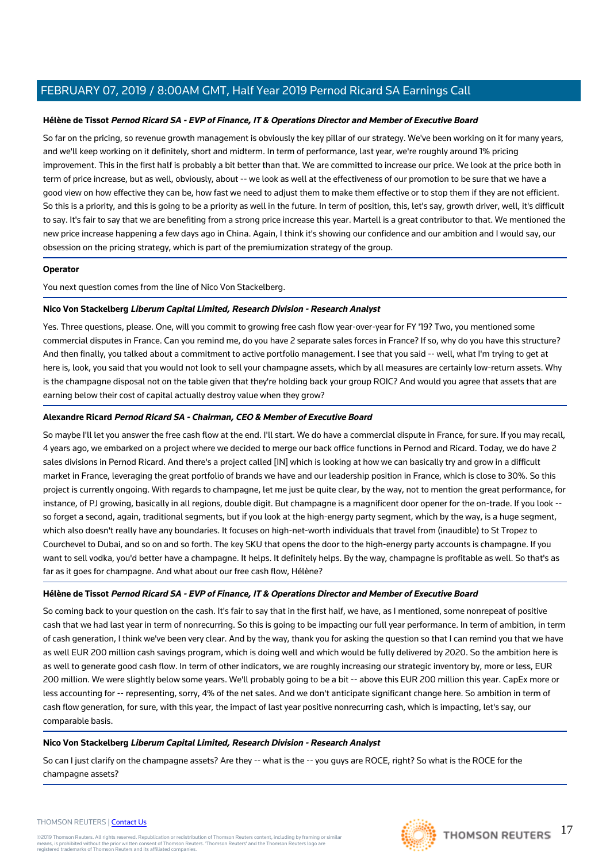## **Hélène de Tissot Pernod Ricard SA - EVP of Finance, IT & Operations Director and Member of Executive Board**

So far on the pricing, so revenue growth management is obviously the key pillar of our strategy. We've been working on it for many years, and we'll keep working on it definitely, short and midterm. In term of performance, last year, we're roughly around 1% pricing improvement. This in the first half is probably a bit better than that. We are committed to increase our price. We look at the price both in term of price increase, but as well, obviously, about -- we look as well at the effectiveness of our promotion to be sure that we have a good view on how effective they can be, how fast we need to adjust them to make them effective or to stop them if they are not efficient. So this is a priority, and this is going to be a priority as well in the future. In term of position, this, let's say, growth driver, well, it's difficult to say. It's fair to say that we are benefiting from a strong price increase this year. Martell is a great contributor to that. We mentioned the new price increase happening a few days ago in China. Again, I think it's showing our confidence and our ambition and I would say, our obsession on the pricing strategy, which is part of the premiumization strategy of the group.

## **Operator**

You next question comes from the line of Nico Von Stackelberg.

# **Nico Von Stackelberg Liberum Capital Limited, Research Division - Research Analyst**

Yes. Three questions, please. One, will you commit to growing free cash flow year-over-year for FY '19? Two, you mentioned some commercial disputes in France. Can you remind me, do you have 2 separate sales forces in France? If so, why do you have this structure? And then finally, you talked about a commitment to active portfolio management. I see that you said -- well, what I'm trying to get at here is, look, you said that you would not look to sell your champagne assets, which by all measures are certainly low-return assets. Why is the champagne disposal not on the table given that they're holding back your group ROIC? And would you agree that assets that are earning below their cost of capital actually destroy value when they grow?

## **Alexandre Ricard Pernod Ricard SA - Chairman, CEO & Member of Executive Board**

So maybe I'll let you answer the free cash flow at the end. I'll start. We do have a commercial dispute in France, for sure. If you may recall, 4 years ago, we embarked on a project where we decided to merge our back office functions in Pernod and Ricard. Today, we do have 2 sales divisions in Pernod Ricard. And there's a project called [IN] which is looking at how we can basically try and grow in a difficult market in France, leveraging the great portfolio of brands we have and our leadership position in France, which is close to 30%. So this project is currently ongoing. With regards to champagne, let me just be quite clear, by the way, not to mention the great performance, for instance, of PJ growing, basically in all regions, double digit. But champagne is a magnificent door opener for the on-trade. If you look - so forget a second, again, traditional segments, but if you look at the high-energy party segment, which by the way, is a huge segment, which also doesn't really have any boundaries. It focuses on high-net-worth individuals that travel from (inaudible) to St Tropez to Courchevel to Dubai, and so on and so forth. The key SKU that opens the door to the high-energy party accounts is champagne. If you want to sell vodka, you'd better have a champagne. It helps. It definitely helps. By the way, champagne is profitable as well. So that's as far as it goes for champagne. And what about our free cash flow, Hélène?

## **Hélène de Tissot Pernod Ricard SA - EVP of Finance, IT & Operations Director and Member of Executive Board**

So coming back to your question on the cash. It's fair to say that in the first half, we have, as I mentioned, some nonrepeat of positive cash that we had last year in term of nonrecurring. So this is going to be impacting our full year performance. In term of ambition, in term of cash generation, I think we've been very clear. And by the way, thank you for asking the question so that I can remind you that we have as well EUR 200 million cash savings program, which is doing well and which would be fully delivered by 2020. So the ambition here is as well to generate good cash flow. In term of other indicators, we are roughly increasing our strategic inventory by, more or less, EUR 200 million. We were slightly below some years. We'll probably going to be a bit -- above this EUR 200 million this year. CapEx more or less accounting for -- representing, sorry, 4% of the net sales. And we don't anticipate significant change here. So ambition in term of cash flow generation, for sure, with this year, the impact of last year positive nonrecurring cash, which is impacting, let's say, our comparable basis.

# **Nico Von Stackelberg Liberum Capital Limited, Research Division - Research Analyst**

So can I just clarify on the champagne assets? Are they -- what is the -- you guys are ROCE, right? So what is the ROCE for the champagne assets?

#### THOMSON REUTERS | [Contact Us](https://my.thomsonreuters.com/ContactUsNew)